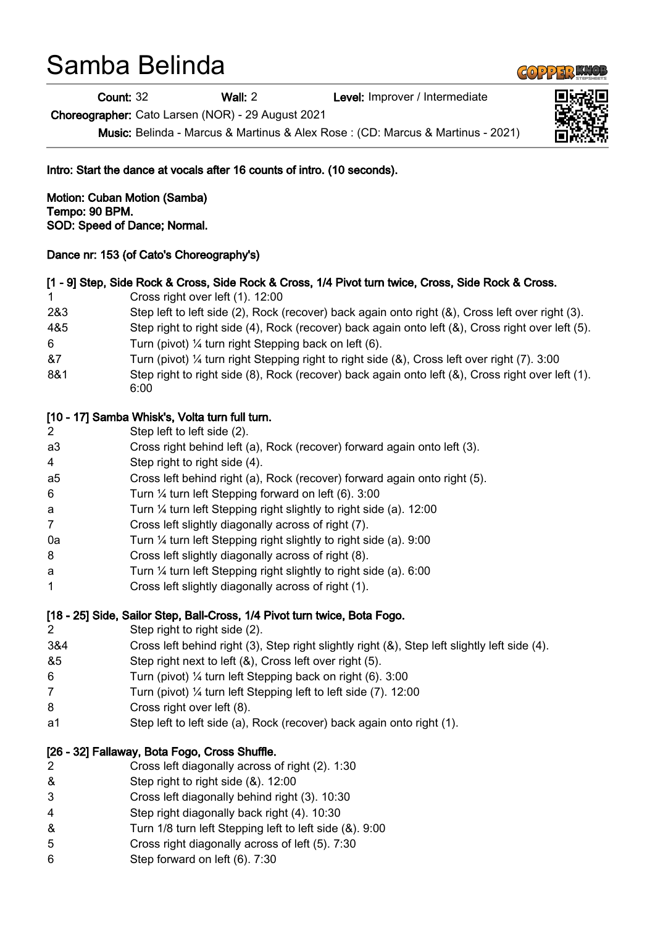# Samba Belinda

Count: 32 Wall: 2 Level: Improver / Intermediate

Choreographer: Cato Larsen (NOR) - 29 August 2021

Music: Belinda - Marcus & Martinus & Alex Rose : (CD: Marcus & Martinus - 2021)

Intro: Start the dance at vocals after 16 counts of intro. (10 seconds).

Motion: Cuban Motion (Samba) Tempo: 90 BPM. SOD: Speed of Dance; Normal.

Dance nr: 153 (of Cato's Choreography's)

### [1 - 9] Step, Side Rock & Cross, Side Rock & Cross, 1/4 Pivot turn twice, Cross, Side Rock & Cross.

- 1 Cross right over left (1). 12:00
- 2&3 Step left to left side (2), Rock (recover) back again onto right (&), Cross left over right (3).
- 4&5 Step right to right side (4), Rock (recover) back again onto left (&), Cross right over left (5).
- 6 Turn (pivot) ¼ turn right Stepping back on left (6).
- &7 Turn (pivot) ¼ turn right Stepping right to right side (&), Cross left over right (7). 3:00
- 8&1 Step right to right side (8), Rock (recover) back again onto left (8), Cross right over left (1). 6:00

## [10 - 17] Samba Whisk's, Volta turn full turn.

- 2 Step left to left side (2).
- a3 Cross right behind left (a), Rock (recover) forward again onto left (3).
- 4 Step right to right side (4).
- a5 Cross left behind right (a), Rock (recover) forward again onto right (5).
- 6 Turn ¼ turn left Stepping forward on left (6). 3:00
- a Turn ¼ turn left Stepping right slightly to right side (a). 12:00
- 7 Cross left slightly diagonally across of right (7).
- 0a Turn 1/4 turn left Stepping right slightly to right side (a). 9:00
- 8 Cross left slightly diagonally across of right (8).
- a Turn ¼ turn left Stepping right slightly to right side (a). 6:00
- 1 Cross left slightly diagonally across of right (1).

## [18 - 25] Side, Sailor Step, Ball-Cross, 1/4 Pivot turn twice, Bota Fogo.

- 2 Step right to right side (2).
- 3&4 Cross left behind right (3), Step right slightly right (&), Step left slightly left side (4).
- &5 Step right next to left (&), Cross left over right (5).
- 6 Turn (pivot) ¼ turn left Stepping back on right (6). 3:00
- 7 Turn (pivot) ¼ turn left Stepping left to left side (7). 12:00
- 8 Cross right over left (8).
- a1 Step left to left side (a), Rock (recover) back again onto right (1).

## [26 - 32] Fallaway, Bota Fogo, Cross Shuffle.

- 2 Cross left diagonally across of right (2). 1:30
- & Step right to right side (&). 12:00
- 3 Cross left diagonally behind right (3). 10:30
- 4 Step right diagonally back right (4). 10:30
- & Turn 1/8 turn left Stepping left to left side (&). 9:00
- 5 Cross right diagonally across of left (5). 7:30
- 6 Step forward on left (6). 7:30